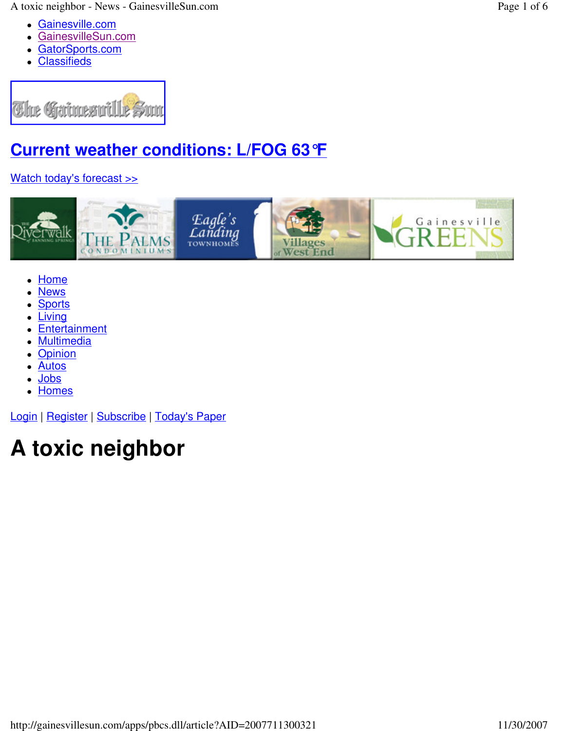A toxic neighbor - News - GainesvilleSun.com Page 1 of 6

- Gainesville.com
- GainesvilleSun.com
- GatorSports.com
- Classifieds



# **Current weather conditions: L/FOG 63°F**

### Watch today's forecast >>



- Home
- News
- **Sports**
- Living
- Entertainment
- **Multimedia**
- **Opinion**
- Autos
- Jobs
- Homes

Login | Register | Subscribe | Today's Paper

# **A toxic neighbor**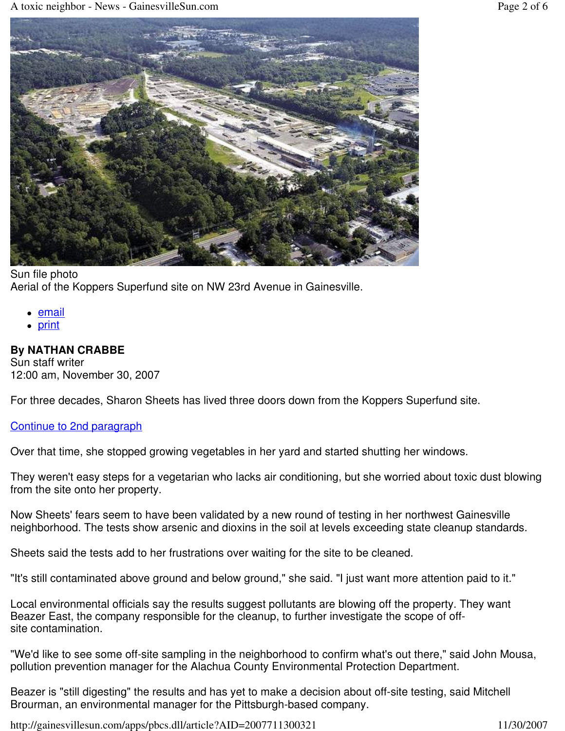

#### Sun file photo Aerial of the Koppers Superfund site on NW 23rd Avenue in Gainesville.

- email
- print

#### **By NATHAN CRABBE**

Sun staff writer 12:00 am, November 30, 2007

For three decades, Sharon Sheets has lived three doors down from the Koppers Superfund site.

#### Continue to 2nd paragraph

Over that time, she stopped growing vegetables in her yard and started shutting her windows.

They weren't easy steps for a vegetarian who lacks air conditioning, but she worried about toxic dust blowing from the site onto her property.

Now Sheets' fears seem to have been validated by a new round of testing in her northwest Gainesville neighborhood. The tests show arsenic and dioxins in the soil at levels exceeding state cleanup standards.

Sheets said the tests add to her frustrations over waiting for the site to be cleaned.

"It's still contaminated above ground and below ground," she said. "I just want more attention paid to it."

Local environmental officials say the results suggest pollutants are blowing off the property. They want Beazer East, the company responsible for the cleanup, to further investigate the scope of offsite contamination.

"We'd like to see some off-site sampling in the neighborhood to confirm what's out there," said John Mousa, pollution prevention manager for the Alachua County Environmental Protection Department.

Beazer is "still digesting" the results and has yet to make a decision about off-site testing, said Mitchell Brourman, an environmental manager for the Pittsburgh-based company.

http://gainesvillesun.com/apps/pbcs.dll/article?AID=2007711300321 11/30/2007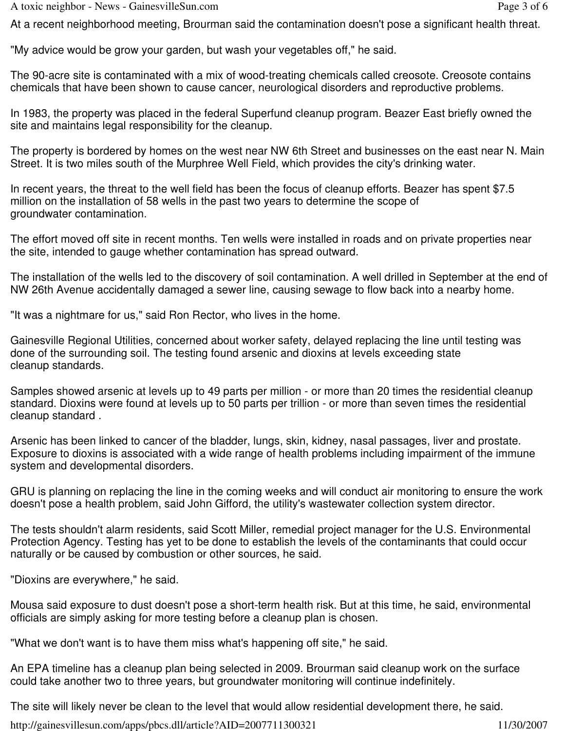A toxic neighbor - News - GainesvilleSun.com Page 3 of 6

At a recent neighborhood meeting, Brourman said the contamination doesn't pose a significant health threat.

"My advice would be grow your garden, but wash your vegetables off," he said.

The 90-acre site is contaminated with a mix of wood-treating chemicals called creosote. Creosote contains chemicals that have been shown to cause cancer, neurological disorders and reproductive problems.

In 1983, the property was placed in the federal Superfund cleanup program. Beazer East briefly owned the site and maintains legal responsibility for the cleanup.

The property is bordered by homes on the west near NW 6th Street and businesses on the east near N. Main Street. It is two miles south of the Murphree Well Field, which provides the city's drinking water.

In recent years, the threat to the well field has been the focus of cleanup efforts. Beazer has spent \$7.5 million on the installation of 58 wells in the past two years to determine the scope of groundwater contamination.

The effort moved off site in recent months. Ten wells were installed in roads and on private properties near the site, intended to gauge whether contamination has spread outward.

The installation of the wells led to the discovery of soil contamination. A well drilled in September at the end of NW 26th Avenue accidentally damaged a sewer line, causing sewage to flow back into a nearby home.

"It was a nightmare for us," said Ron Rector, who lives in the home.

Gainesville Regional Utilities, concerned about worker safety, delayed replacing the line until testing was done of the surrounding soil. The testing found arsenic and dioxins at levels exceeding state cleanup standards.

Samples showed arsenic at levels up to 49 parts per million - or more than 20 times the residential cleanup standard. Dioxins were found at levels up to 50 parts per trillion - or more than seven times the residential cleanup standard .

Arsenic has been linked to cancer of the bladder, lungs, skin, kidney, nasal passages, liver and prostate. Exposure to dioxins is associated with a wide range of health problems including impairment of the immune system and developmental disorders.

GRU is planning on replacing the line in the coming weeks and will conduct air monitoring to ensure the work doesn't pose a health problem, said John Gifford, the utility's wastewater collection system director.

The tests shouldn't alarm residents, said Scott Miller, remedial project manager for the U.S. Environmental Protection Agency. Testing has yet to be done to establish the levels of the contaminants that could occur naturally or be caused by combustion or other sources, he said.

"Dioxins are everywhere," he said.

Mousa said exposure to dust doesn't pose a short-term health risk. But at this time, he said, environmental officials are simply asking for more testing before a cleanup plan is chosen.

"What we don't want is to have them miss what's happening off site," he said.

An EPA timeline has a cleanup plan being selected in 2009. Brourman said cleanup work on the surface could take another two to three years, but groundwater monitoring will continue indefinitely.

The site will likely never be clean to the level that would allow residential development there, he said.

http://gainesvillesun.com/apps/pbcs.dll/article?AID=2007711300321 11/30/2007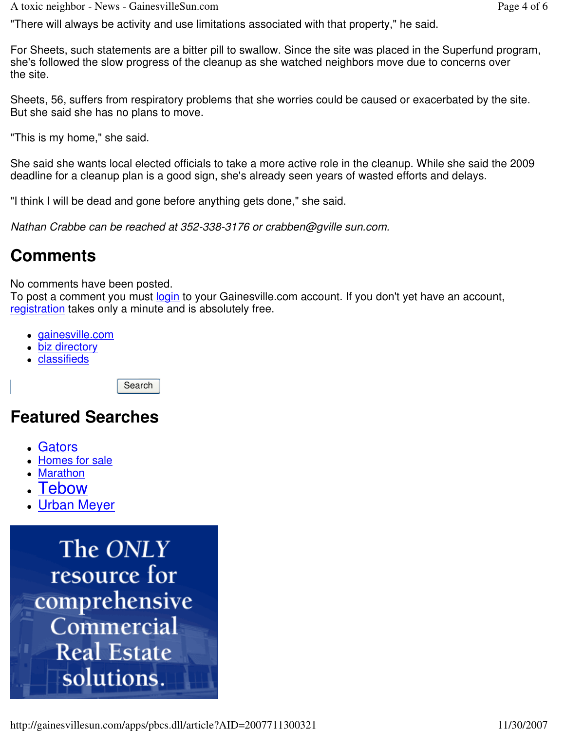A toxic neighbor - News - GainesvilleSun.com **Page 4** of 6

"There will always be activity and use limitations associated with that property," he said.

For Sheets, such statements are a bitter pill to swallow. Since the site was placed in the Superfund program, she's followed the slow progress of the cleanup as she watched neighbors move due to concerns over the site.

Sheets, 56, suffers from respiratory problems that she worries could be caused or exacerbated by the site. But she said she has no plans to move.

"This is my home," she said.

She said she wants local elected officials to take a more active role in the cleanup. While she said the 2009 deadline for a cleanup plan is a good sign, she's already seen years of wasted efforts and delays.

"I think I will be dead and gone before anything gets done," she said.

*Nathan Crabbe can be reached at 352-338-3176 or crabben@gville sun.com.*

## **Comments**

No comments have been posted.

To post a comment you must login to your Gainesville.com account. If you don't yet have an account, registration takes only a minute and is absolutely free.

- gainesville.com
- biz directory
- classifieds

Search

## **Featured Searches**

- Gators
- Homes for sale
- Marathon
- **Tebow**
- Urban Meyer

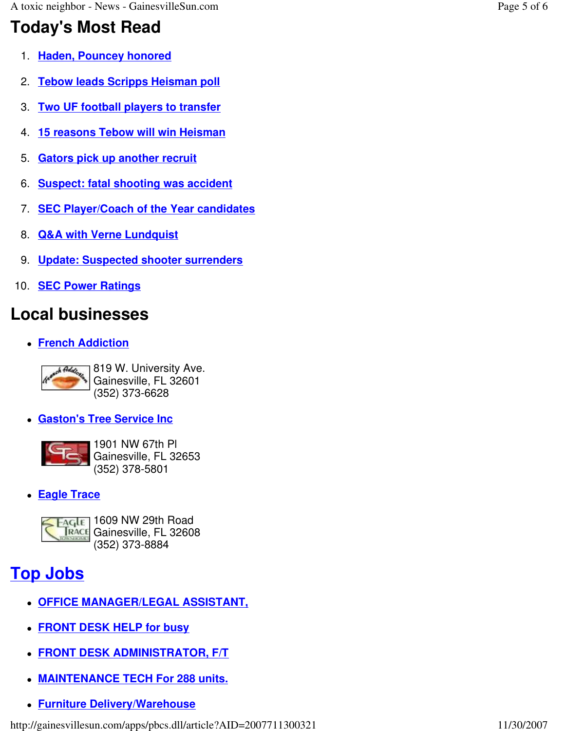## **Today's Most Read**

- 1. **Haden, Pouncey honored**
- 2. **Tebow leads Scripps Heisman poll**
- 3. **Two UF football players to transfer**
- 4. **15 reasons Tebow will win Heisman**
- 5. **Gators pick up another recruit**
- 6. **Suspect: fatal shooting was accident**
- 7. **SEC Player/Coach of the Year candidates**
- 8. **Q&A with Verne Lundquist**
- 9. **Update: Suspected shooter surrenders**
- 10. **SEC Power Ratings**

# **Local businesses**

**French Addiction**



819 W. University Ave. Gainesville, FL 32601 (352) 373-6628

**Gaston's Tree Service Inc**



1901 NW 67th Pl Gainesville, FL 32653 (352) 378-5801

**Eagle Trace**



# **Top Jobs**

- **OFFICE MANAGER/LEGAL ASSISTANT,**
- **FRONT DESK HELP for busy**
- **FRONT DESK ADMINISTRATOR, F/T**
- **MAINTENANCE TECH For 288 units.**
- **Furniture Delivery/Warehouse**